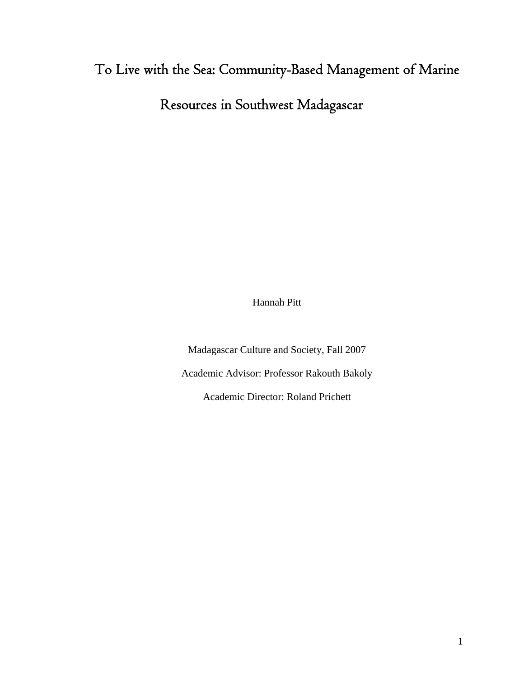# To Live with the Sea: Community-Based Management of Marine

Resources in Southwest Madagascar

Hannah Pitt

Madagascar Culture and Society, Fall 2007 Academic Advisor: Professor Rakouth Bakoly Academic Director: Roland Prichett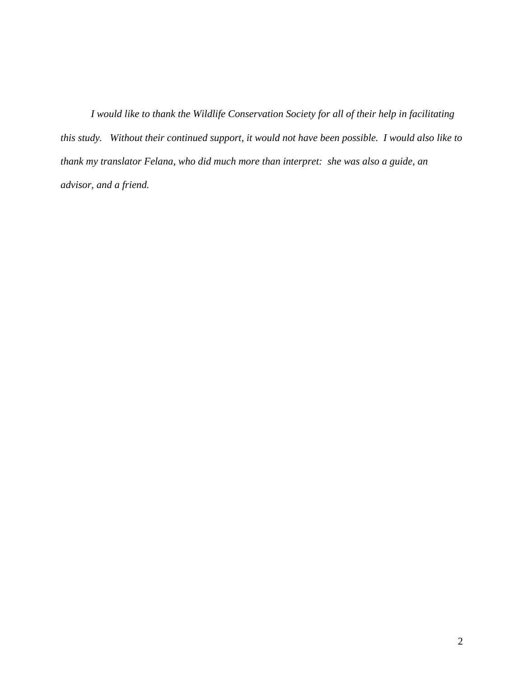*I would like to thank the Wildlife Conservation Society for all of their help in facilitating this study. Without their continued support, it would not have been possible. I would also like to thank my translator Felana, who did much more than interpret: she was also a guide, an advisor, and a friend.*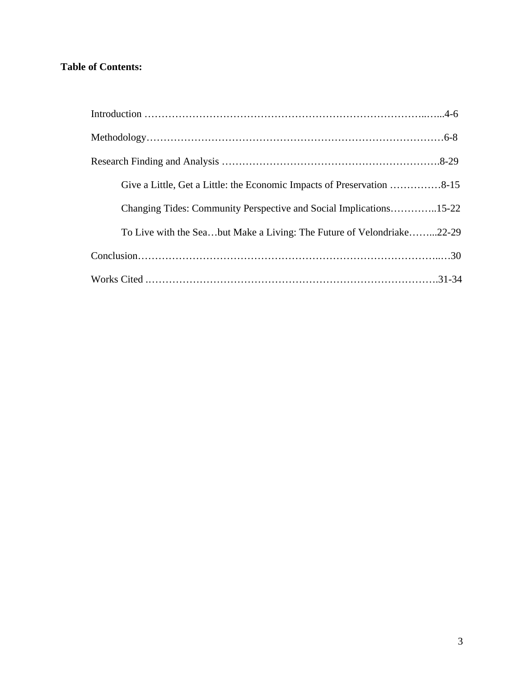### **Table of Contents:**

| Give a Little, Get a Little: the Economic Impacts of Preservation 8-15 |
|------------------------------------------------------------------------|
| Changing Tides: Community Perspective and Social Implications15-22     |
| To Live with the Seabut Make a Living: The Future of Velondriake22-29  |
|                                                                        |
|                                                                        |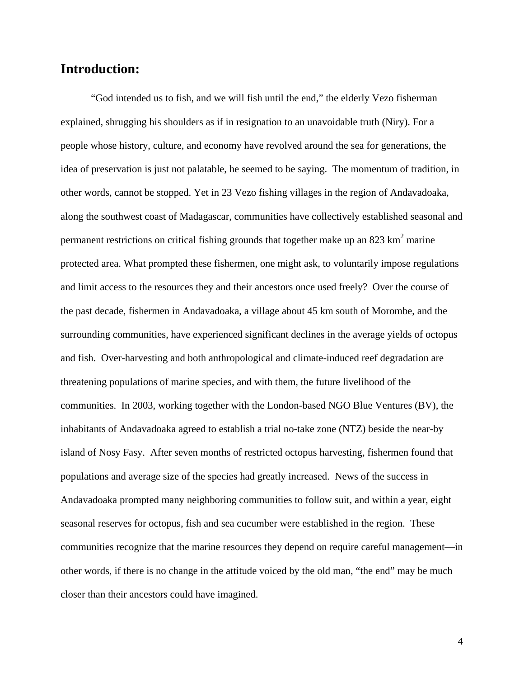# **Introduction:**

"God intended us to fish, and we will fish until the end," the elderly Vezo fisherman explained, shrugging his shoulders as if in resignation to an unavoidable truth (Niry). For a people whose history, culture, and economy have revolved around the sea for generations, the idea of preservation is just not palatable, he seemed to be saying. The momentum of tradition, in other words, cannot be stopped. Yet in 23 Vezo fishing villages in the region of Andavadoaka, along the southwest coast of Madagascar, communities have collectively established seasonal and permanent restrictions on critical fishing grounds that together make up an 823 km<sup>2</sup> marine protected area. What prompted these fishermen, one might ask, to voluntarily impose regulations and limit access to the resources they and their ancestors once used freely? Over the course of the past decade, fishermen in Andavadoaka, a village about 45 km south of Morombe, and the surrounding communities, have experienced significant declines in the average yields of octopus and fish. Over-harvesting and both anthropological and climate-induced reef degradation are threatening populations of marine species, and with them, the future livelihood of the communities. In 2003, working together with the London-based NGO Blue Ventures (BV), the inhabitants of Andavadoaka agreed to establish a trial no-take zone (NTZ) beside the near-by island of Nosy Fasy. After seven months of restricted octopus harvesting, fishermen found that populations and average size of the species had greatly increased. News of the success in Andavadoaka prompted many neighboring communities to follow suit, and within a year, eight seasonal reserves for octopus, fish and sea cucumber were established in the region. These communities recognize that the marine resources they depend on require careful management—in other words, if there is no change in the attitude voiced by the old man, "the end" may be much closer than their ancestors could have imagined.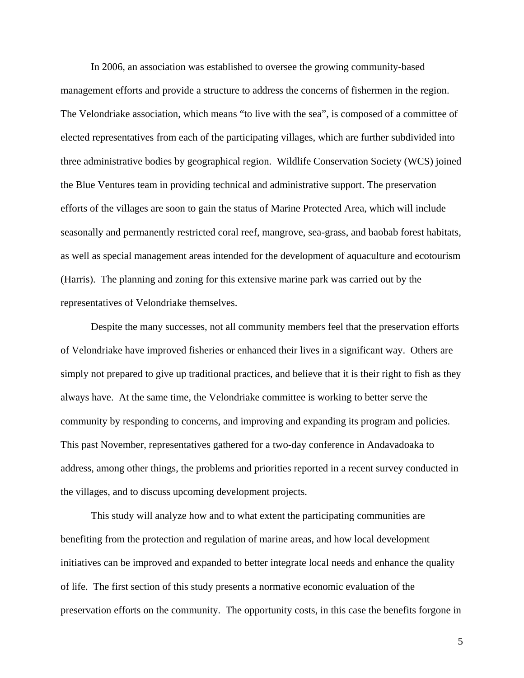In 2006, an association was established to oversee the growing community-based management efforts and provide a structure to address the concerns of fishermen in the region. The Velondriake association, which means "to live with the sea", is composed of a committee of elected representatives from each of the participating villages, which are further subdivided into three administrative bodies by geographical region. Wildlife Conservation Society (WCS) joined the Blue Ventures team in providing technical and administrative support. The preservation efforts of the villages are soon to gain the status of Marine Protected Area, which will include seasonally and permanently restricted coral reef, mangrove, sea-grass, and baobab forest habitats, as well as special management areas intended for the development of aquaculture and ecotourism (Harris). The planning and zoning for this extensive marine park was carried out by the representatives of Velondriake themselves.

Despite the many successes, not all community members feel that the preservation efforts of Velondriake have improved fisheries or enhanced their lives in a significant way. Others are simply not prepared to give up traditional practices, and believe that it is their right to fish as they always have. At the same time, the Velondriake committee is working to better serve the community by responding to concerns, and improving and expanding its program and policies. This past November, representatives gathered for a two-day conference in Andavadoaka to address, among other things, the problems and priorities reported in a recent survey conducted in the villages, and to discuss upcoming development projects.

This study will analyze how and to what extent the participating communities are benefiting from the protection and regulation of marine areas, and how local development initiatives can be improved and expanded to better integrate local needs and enhance the quality of life. The first section of this study presents a normative economic evaluation of the preservation efforts on the community. The opportunity costs, in this case the benefits forgone in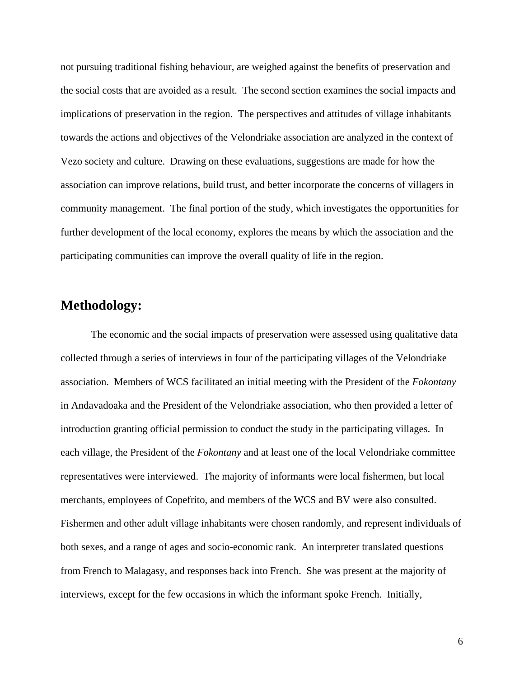not pursuing traditional fishing behaviour, are weighed against the benefits of preservation and the social costs that are avoided as a result. The second section examines the social impacts and implications of preservation in the region. The perspectives and attitudes of village inhabitants towards the actions and objectives of the Velondriake association are analyzed in the context of Vezo society and culture. Drawing on these evaluations, suggestions are made for how the association can improve relations, build trust, and better incorporate the concerns of villagers in community management. The final portion of the study, which investigates the opportunities for further development of the local economy, explores the means by which the association and the participating communities can improve the overall quality of life in the region.

# **Methodology:**

The economic and the social impacts of preservation were assessed using qualitative data collected through a series of interviews in four of the participating villages of the Velondriake association. Members of WCS facilitated an initial meeting with the President of the *Fokontany* in Andavadoaka and the President of the Velondriake association, who then provided a letter of introduction granting official permission to conduct the study in the participating villages. In each village, the President of the *Fokontany* and at least one of the local Velondriake committee representatives were interviewed. The majority of informants were local fishermen, but local merchants, employees of Copefrito, and members of the WCS and BV were also consulted. Fishermen and other adult village inhabitants were chosen randomly, and represent individuals of both sexes, and a range of ages and socio-economic rank. An interpreter translated questions from French to Malagasy, and responses back into French. She was present at the majority of interviews, except for the few occasions in which the informant spoke French. Initially,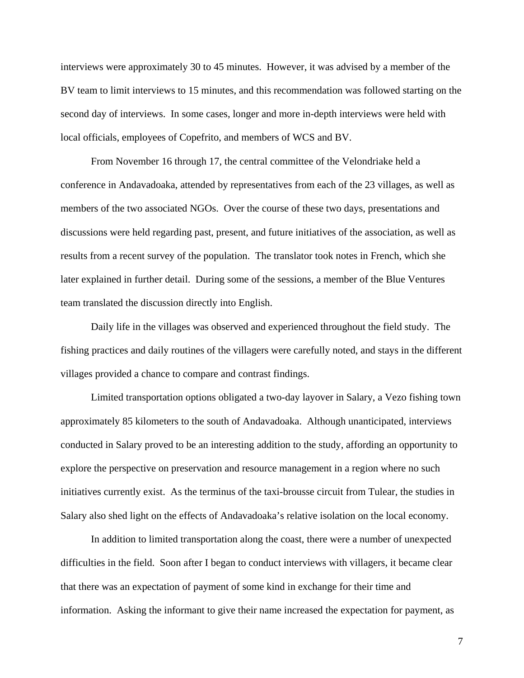interviews were approximately 30 to 45 minutes. However, it was advised by a member of the BV team to limit interviews to 15 minutes, and this recommendation was followed starting on the second day of interviews. In some cases, longer and more in-depth interviews were held with local officials, employees of Copefrito, and members of WCS and BV.

From November 16 through 17, the central committee of the Velondriake held a conference in Andavadoaka, attended by representatives from each of the 23 villages, as well as members of the two associated NGOs. Over the course of these two days, presentations and discussions were held regarding past, present, and future initiatives of the association, as well as results from a recent survey of the population. The translator took notes in French, which she later explained in further detail. During some of the sessions, a member of the Blue Ventures team translated the discussion directly into English.

Daily life in the villages was observed and experienced throughout the field study. The fishing practices and daily routines of the villagers were carefully noted, and stays in the different villages provided a chance to compare and contrast findings.

Limited transportation options obligated a two-day layover in Salary, a Vezo fishing town approximately 85 kilometers to the south of Andavadoaka. Although unanticipated, interviews conducted in Salary proved to be an interesting addition to the study, affording an opportunity to explore the perspective on preservation and resource management in a region where no such initiatives currently exist. As the terminus of the taxi-brousse circuit from Tulear, the studies in Salary also shed light on the effects of Andavadoaka's relative isolation on the local economy.

In addition to limited transportation along the coast, there were a number of unexpected difficulties in the field. Soon after I began to conduct interviews with villagers, it became clear that there was an expectation of payment of some kind in exchange for their time and information. Asking the informant to give their name increased the expectation for payment, as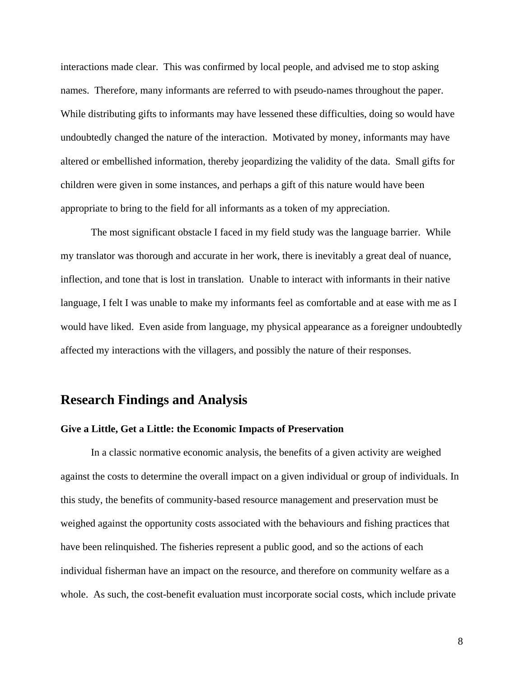interactions made clear. This was confirmed by local people, and advised me to stop asking names. Therefore, many informants are referred to with pseudo-names throughout the paper. While distributing gifts to informants may have lessened these difficulties, doing so would have undoubtedly changed the nature of the interaction. Motivated by money, informants may have altered or embellished information, thereby jeopardizing the validity of the data. Small gifts for children were given in some instances, and perhaps a gift of this nature would have been appropriate to bring to the field for all informants as a token of my appreciation.

The most significant obstacle I faced in my field study was the language barrier. While my translator was thorough and accurate in her work, there is inevitably a great deal of nuance, inflection, and tone that is lost in translation. Unable to interact with informants in their native language, I felt I was unable to make my informants feel as comfortable and at ease with me as I would have liked. Even aside from language, my physical appearance as a foreigner undoubtedly affected my interactions with the villagers, and possibly the nature of their responses.

### **Research Findings and Analysis**

#### **Give a Little, Get a Little: the Economic Impacts of Preservation**

In a classic normative economic analysis, the benefits of a given activity are weighed against the costs to determine the overall impact on a given individual or group of individuals. In this study, the benefits of community-based resource management and preservation must be weighed against the opportunity costs associated with the behaviours and fishing practices that have been relinquished. The fisheries represent a public good, and so the actions of each individual fisherman have an impact on the resource, and therefore on community welfare as a whole. As such, the cost-benefit evaluation must incorporate social costs, which include private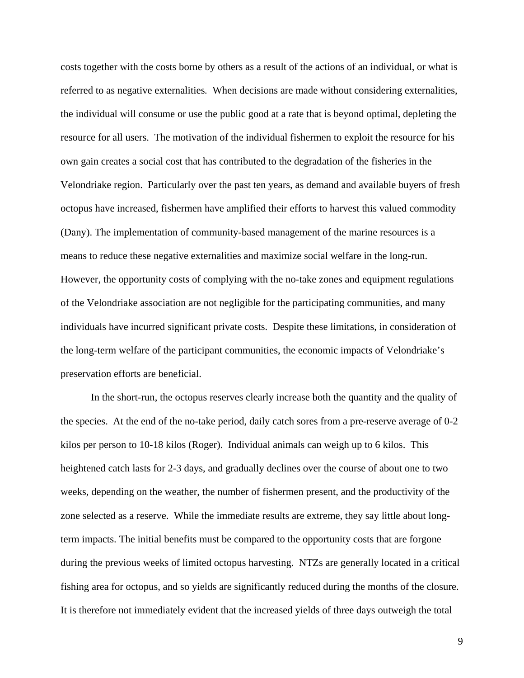costs together with the costs borne by others as a result of the actions of an individual, or what is referred to as negative externalities*.* When decisions are made without considering externalities, the individual will consume or use the public good at a rate that is beyond optimal, depleting the resource for all users. The motivation of the individual fishermen to exploit the resource for his own gain creates a social cost that has contributed to the degradation of the fisheries in the Velondriake region. Particularly over the past ten years, as demand and available buyers of fresh octopus have increased, fishermen have amplified their efforts to harvest this valued commodity (Dany). The implementation of community-based management of the marine resources is a means to reduce these negative externalities and maximize social welfare in the long-run. However, the opportunity costs of complying with the no-take zones and equipment regulations of the Velondriake association are not negligible for the participating communities, and many individuals have incurred significant private costs. Despite these limitations, in consideration of the long-term welfare of the participant communities, the economic impacts of Velondriake's preservation efforts are beneficial.

In the short-run, the octopus reserves clearly increase both the quantity and the quality of the species. At the end of the no-take period, daily catch sores from a pre-reserve average of 0-2 kilos per person to 10-18 kilos (Roger). Individual animals can weigh up to 6 kilos. This heightened catch lasts for 2-3 days, and gradually declines over the course of about one to two weeks, depending on the weather, the number of fishermen present, and the productivity of the zone selected as a reserve. While the immediate results are extreme, they say little about longterm impacts. The initial benefits must be compared to the opportunity costs that are forgone during the previous weeks of limited octopus harvesting. NTZs are generally located in a critical fishing area for octopus, and so yields are significantly reduced during the months of the closure. It is therefore not immediately evident that the increased yields of three days outweigh the total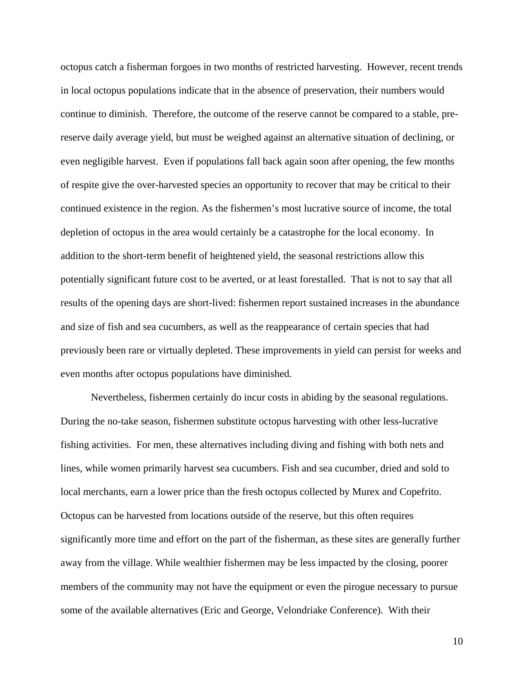octopus catch a fisherman forgoes in two months of restricted harvesting. However, recent trends in local octopus populations indicate that in the absence of preservation, their numbers would continue to diminish. Therefore, the outcome of the reserve cannot be compared to a stable, prereserve daily average yield, but must be weighed against an alternative situation of declining, or even negligible harvest. Even if populations fall back again soon after opening, the few months of respite give the over-harvested species an opportunity to recover that may be critical to their continued existence in the region. As the fishermen's most lucrative source of income, the total depletion of octopus in the area would certainly be a catastrophe for the local economy. In addition to the short-term benefit of heightened yield, the seasonal restrictions allow this potentially significant future cost to be averted, or at least forestalled. That is not to say that all results of the opening days are short-lived: fishermen report sustained increases in the abundance and size of fish and sea cucumbers, as well as the reappearance of certain species that had previously been rare or virtually depleted. These improvements in yield can persist for weeks and even months after octopus populations have diminished.

Nevertheless, fishermen certainly do incur costs in abiding by the seasonal regulations. During the no-take season, fishermen substitute octopus harvesting with other less-lucrative fishing activities. For men, these alternatives including diving and fishing with both nets and lines, while women primarily harvest sea cucumbers. Fish and sea cucumber, dried and sold to local merchants, earn a lower price than the fresh octopus collected by Murex and Copefrito. Octopus can be harvested from locations outside of the reserve, but this often requires significantly more time and effort on the part of the fisherman, as these sites are generally further away from the village. While wealthier fishermen may be less impacted by the closing, poorer members of the community may not have the equipment or even the pirogue necessary to pursue some of the available alternatives (Eric and George, Velondriake Conference). With their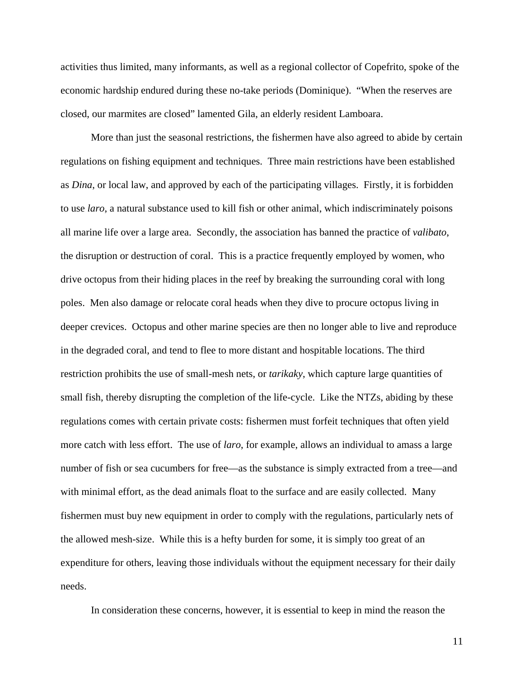activities thus limited, many informants, as well as a regional collector of Copefrito, spoke of the economic hardship endured during these no-take periods (Dominique). "When the reserves are closed, our marmites are closed" lamented Gila, an elderly resident Lamboara.

More than just the seasonal restrictions, the fishermen have also agreed to abide by certain regulations on fishing equipment and techniques. Three main restrictions have been established as *Dina*, or local law, and approved by each of the participating villages. Firstly, it is forbidden to use *laro*, a natural substance used to kill fish or other animal, which indiscriminately poisons all marine life over a large area. Secondly, the association has banned the practice of *valibato*, the disruption or destruction of coral. This is a practice frequently employed by women, who drive octopus from their hiding places in the reef by breaking the surrounding coral with long poles. Men also damage or relocate coral heads when they dive to procure octopus living in deeper crevices. Octopus and other marine species are then no longer able to live and reproduce in the degraded coral, and tend to flee to more distant and hospitable locations. The third restriction prohibits the use of small-mesh nets, or *tarikaky*, which capture large quantities of small fish, thereby disrupting the completion of the life-cycle. Like the NTZs, abiding by these regulations comes with certain private costs: fishermen must forfeit techniques that often yield more catch with less effort. The use of *laro*, for example, allows an individual to amass a large number of fish or sea cucumbers for free—as the substance is simply extracted from a tree—and with minimal effort, as the dead animals float to the surface and are easily collected. Many fishermen must buy new equipment in order to comply with the regulations, particularly nets of the allowed mesh-size. While this is a hefty burden for some, it is simply too great of an expenditure for others, leaving those individuals without the equipment necessary for their daily needs.

In consideration these concerns, however, it is essential to keep in mind the reason the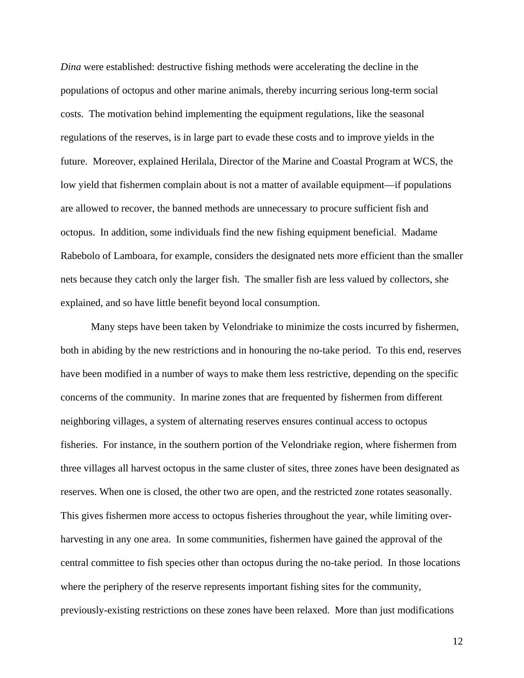*Dina* were established: destructive fishing methods were accelerating the decline in the populations of octopus and other marine animals, thereby incurring serious long-term social costs. The motivation behind implementing the equipment regulations, like the seasonal regulations of the reserves, is in large part to evade these costs and to improve yields in the future. Moreover, explained Herilala, Director of the Marine and Coastal Program at WCS, the low yield that fishermen complain about is not a matter of available equipment—if populations are allowed to recover, the banned methods are unnecessary to procure sufficient fish and octopus. In addition, some individuals find the new fishing equipment beneficial. Madame Rabebolo of Lamboara, for example, considers the designated nets more efficient than the smaller nets because they catch only the larger fish. The smaller fish are less valued by collectors, she explained, and so have little benefit beyond local consumption.

Many steps have been taken by Velondriake to minimize the costs incurred by fishermen, both in abiding by the new restrictions and in honouring the no-take period. To this end, reserves have been modified in a number of ways to make them less restrictive, depending on the specific concerns of the community. In marine zones that are frequented by fishermen from different neighboring villages, a system of alternating reserves ensures continual access to octopus fisheries. For instance, in the southern portion of the Velondriake region, where fishermen from three villages all harvest octopus in the same cluster of sites, three zones have been designated as reserves. When one is closed, the other two are open, and the restricted zone rotates seasonally. This gives fishermen more access to octopus fisheries throughout the year, while limiting overharvesting in any one area. In some communities, fishermen have gained the approval of the central committee to fish species other than octopus during the no-take period. In those locations where the periphery of the reserve represents important fishing sites for the community, previously-existing restrictions on these zones have been relaxed. More than just modifications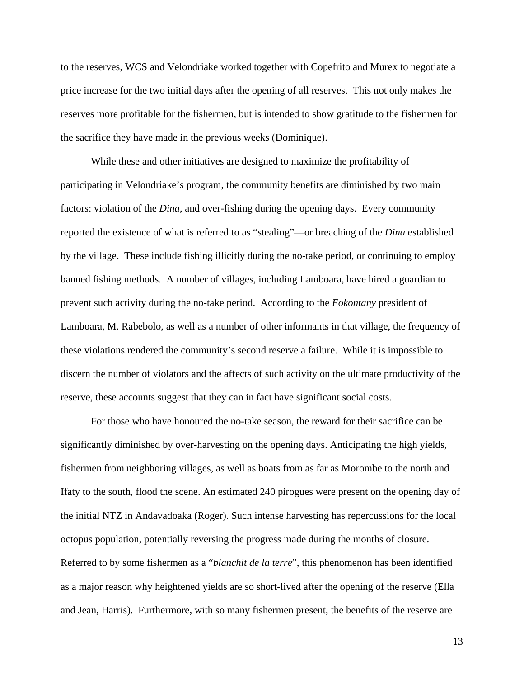to the reserves, WCS and Velondriake worked together with Copefrito and Murex to negotiate a price increase for the two initial days after the opening of all reserves. This not only makes the reserves more profitable for the fishermen, but is intended to show gratitude to the fishermen for the sacrifice they have made in the previous weeks (Dominique).

While these and other initiatives are designed to maximize the profitability of participating in Velondriake's program, the community benefits are diminished by two main factors: violation of the *Dina*, and over-fishing during the opening days. Every community reported the existence of what is referred to as "stealing"—or breaching of the *Dina* established by the village. These include fishing illicitly during the no-take period, or continuing to employ banned fishing methods. A number of villages, including Lamboara, have hired a guardian to prevent such activity during the no-take period. According to the *Fokontany* president of Lamboara, M. Rabebolo, as well as a number of other informants in that village, the frequency of these violations rendered the community's second reserve a failure. While it is impossible to discern the number of violators and the affects of such activity on the ultimate productivity of the reserve, these accounts suggest that they can in fact have significant social costs.

For those who have honoured the no-take season, the reward for their sacrifice can be significantly diminished by over-harvesting on the opening days. Anticipating the high yields, fishermen from neighboring villages, as well as boats from as far as Morombe to the north and Ifaty to the south, flood the scene. An estimated 240 pirogues were present on the opening day of the initial NTZ in Andavadoaka (Roger). Such intense harvesting has repercussions for the local octopus population, potentially reversing the progress made during the months of closure. Referred to by some fishermen as a "*blanchit de la terre*", this phenomenon has been identified as a major reason why heightened yields are so short-lived after the opening of the reserve (Ella and Jean, Harris). Furthermore, with so many fishermen present, the benefits of the reserve are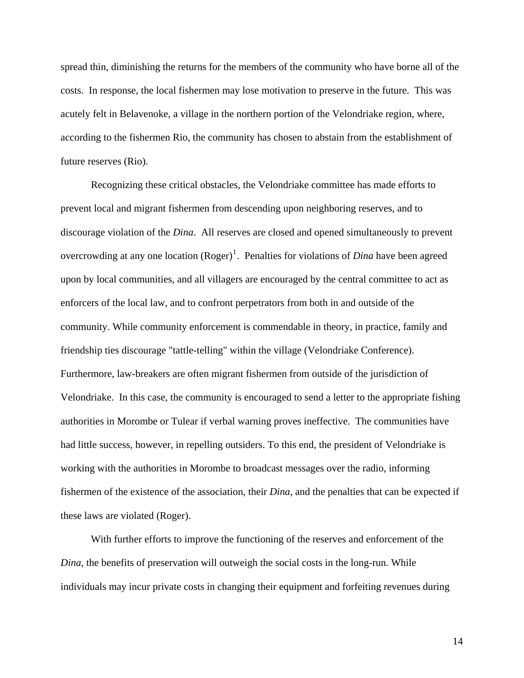spread thin, diminishing the returns for the members of the community who have borne all of the costs. In response, the local fishermen may lose motivation to preserve in the future. This was acutely felt in Belavenoke, a village in the northern portion of the Velondriake region, where, according to the fishermen Rio, the community has chosen to abstain from the establishment of future reserves (Rio).

Recognizing these critical obstacles, the Velondriake committee has made efforts to prevent local and migrant fishermen from descending upon neighboring reserves, and to discourage violation of the *Dina*. All reserves are closed and opened simultaneously to prevent overcrowding at any one location  $(Roger)^1$  $(Roger)^1$ . Penalties for violations of *Dina* have been agreed upon by local communities, and all villagers are encouraged by the central committee to act as enforcers of the local law, and to confront perpetrators from both in and outside of the community. While community enforcement is commendable in theory, in practice, family and friendship ties discourage "tattle-telling" within the village (Velondriake Conference). Furthermore, law-breakers are often migrant fishermen from outside of the jurisdiction of Velondriake. In this case, the community is encouraged to send a letter to the appropriate fishing authorities in Morombe or Tulear if verbal warning proves ineffective. The communities have had little success, however, in repelling outsiders. To this end, the president of Velondriake is working with the authorities in Morombe to broadcast messages over the radio, informing fishermen of the existence of the association, their *Dina*, and the penalties that can be expected if these laws are violated (Roger).

<span id="page-13-0"></span>With further efforts to improve the functioning of the reserves and enforcement of the *Dina*, the benefits of preservation will outweigh the social costs in the long-run. While individuals may incur private costs in changing their equipment and forfeiting revenues during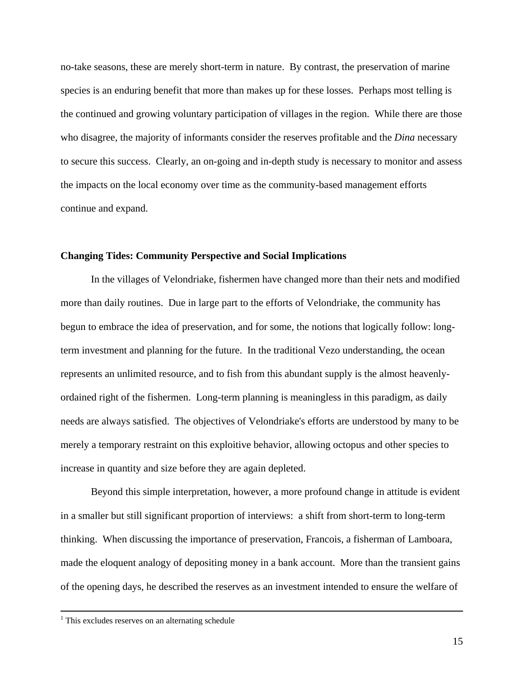no-take seasons, these are merely short-term in nature. By contrast, the preservation of marine species is an enduring benefit that more than makes up for these losses. Perhaps most telling is the continued and growing voluntary participation of villages in the region. While there are those who disagree, the majority of informants consider the reserves profitable and the *Dina* necessary to secure this success. Clearly, an on-going and in-depth study is necessary to monitor and assess the impacts on the local economy over time as the community-based management efforts continue and expand.

### **Changing Tides: Community Perspective and Social Implications**

In the villages of Velondriake, fishermen have changed more than their nets and modified more than daily routines. Due in large part to the efforts of Velondriake, the community has begun to embrace the idea of preservation, and for some, the notions that logically follow: longterm investment and planning for the future. In the traditional Vezo understanding, the ocean represents an unlimited resource, and to fish from this abundant supply is the almost heavenlyordained right of the fishermen. Long-term planning is meaningless in this paradigm, as daily needs are always satisfied. The objectives of Velondriake's efforts are understood by many to be merely a temporary restraint on this exploitive behavior, allowing octopus and other species to increase in quantity and size before they are again depleted.

Beyond this simple interpretation, however, a more profound change in attitude is evident in a smaller but still significant proportion of interviews: a shift from short-term to long-term thinking. When discussing the importance of preservation, Francois, a fisherman of Lamboara, made the eloquent analogy of depositing money in a bank account. More than the transient gains of the opening days, he described the reserves as an investment intended to ensure the welfare of

 $\frac{1}{1}$  $1$ . This excludes reserves on an alternating schedule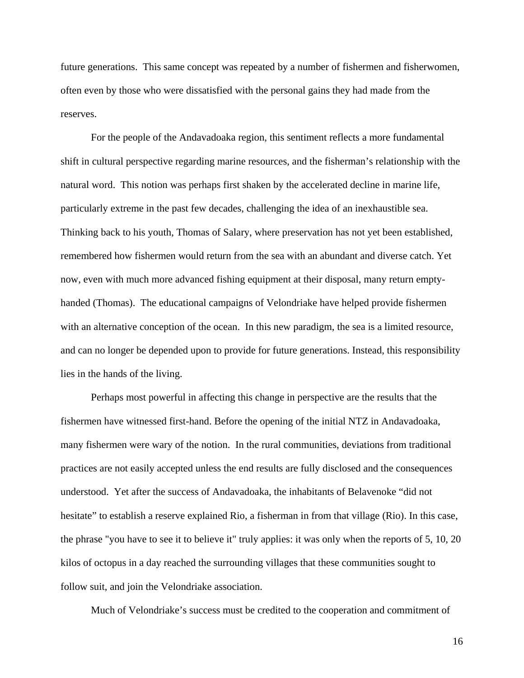future generations. This same concept was repeated by a number of fishermen and fisherwomen, often even by those who were dissatisfied with the personal gains they had made from the reserves.

For the people of the Andavadoaka region, this sentiment reflects a more fundamental shift in cultural perspective regarding marine resources, and the fisherman's relationship with the natural word. This notion was perhaps first shaken by the accelerated decline in marine life, particularly extreme in the past few decades, challenging the idea of an inexhaustible sea. Thinking back to his youth, Thomas of Salary, where preservation has not yet been established, remembered how fishermen would return from the sea with an abundant and diverse catch. Yet now, even with much more advanced fishing equipment at their disposal, many return emptyhanded (Thomas). The educational campaigns of Velondriake have helped provide fishermen with an alternative conception of the ocean. In this new paradigm, the sea is a limited resource, and can no longer be depended upon to provide for future generations. Instead, this responsibility lies in the hands of the living.

Perhaps most powerful in affecting this change in perspective are the results that the fishermen have witnessed first-hand. Before the opening of the initial NTZ in Andavadoaka, many fishermen were wary of the notion. In the rural communities, deviations from traditional practices are not easily accepted unless the end results are fully disclosed and the consequences understood. Yet after the success of Andavadoaka, the inhabitants of Belavenoke "did not hesitate" to establish a reserve explained Rio, a fisherman in from that village (Rio). In this case, the phrase "you have to see it to believe it" truly applies: it was only when the reports of 5, 10, 20 kilos of octopus in a day reached the surrounding villages that these communities sought to follow suit, and join the Velondriake association.

Much of Velondriake's success must be credited to the cooperation and commitment of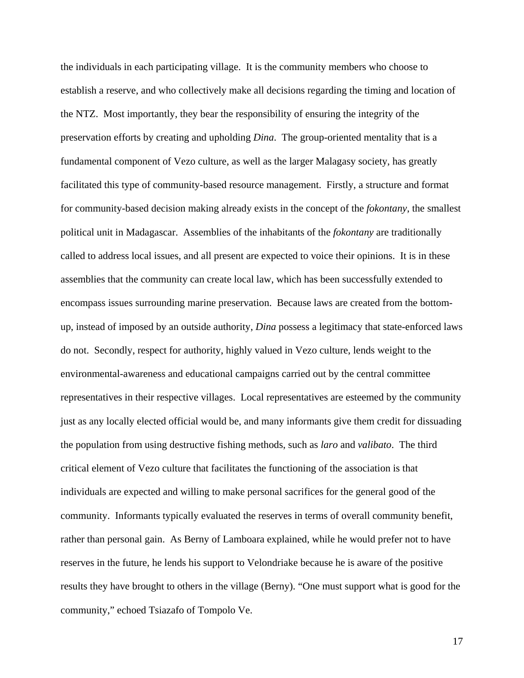the individuals in each participating village. It is the community members who choose to establish a reserve, and who collectively make all decisions regarding the timing and location of the NTZ. Most importantly, they bear the responsibility of ensuring the integrity of the preservation efforts by creating and upholding *Dina*. The group-oriented mentality that is a fundamental component of Vezo culture, as well as the larger Malagasy society, has greatly facilitated this type of community-based resource management. Firstly, a structure and format for community-based decision making already exists in the concept of the *fokontany*, the smallest political unit in Madagascar. Assemblies of the inhabitants of the *fokontany* are traditionally called to address local issues, and all present are expected to voice their opinions. It is in these assemblies that the community can create local law, which has been successfully extended to encompass issues surrounding marine preservation. Because laws are created from the bottomup, instead of imposed by an outside authority, *Dina* possess a legitimacy that state-enforced laws do not. Secondly, respect for authority, highly valued in Vezo culture, lends weight to the environmental-awareness and educational campaigns carried out by the central committee representatives in their respective villages. Local representatives are esteemed by the community just as any locally elected official would be, and many informants give them credit for dissuading the population from using destructive fishing methods, such as *laro* and *valibato*. The third critical element of Vezo culture that facilitates the functioning of the association is that individuals are expected and willing to make personal sacrifices for the general good of the community. Informants typically evaluated the reserves in terms of overall community benefit, rather than personal gain. As Berny of Lamboara explained, while he would prefer not to have reserves in the future, he lends his support to Velondriake because he is aware of the positive results they have brought to others in the village (Berny). "One must support what is good for the community," echoed Tsiazafo of Tompolo Ve.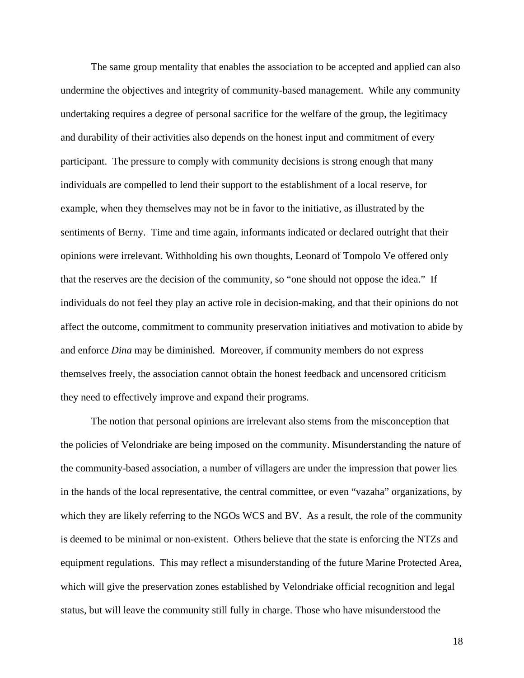The same group mentality that enables the association to be accepted and applied can also undermine the objectives and integrity of community-based management. While any community undertaking requires a degree of personal sacrifice for the welfare of the group, the legitimacy and durability of their activities also depends on the honest input and commitment of every participant. The pressure to comply with community decisions is strong enough that many individuals are compelled to lend their support to the establishment of a local reserve, for example, when they themselves may not be in favor to the initiative, as illustrated by the sentiments of Berny. Time and time again, informants indicated or declared outright that their opinions were irrelevant. Withholding his own thoughts, Leonard of Tompolo Ve offered only that the reserves are the decision of the community, so "one should not oppose the idea." If individuals do not feel they play an active role in decision-making, and that their opinions do not affect the outcome, commitment to community preservation initiatives and motivation to abide by and enforce *Dina* may be diminished. Moreover, if community members do not express themselves freely, the association cannot obtain the honest feedback and uncensored criticism they need to effectively improve and expand their programs.

The notion that personal opinions are irrelevant also stems from the misconception that the policies of Velondriake are being imposed on the community. Misunderstanding the nature of the community-based association, a number of villagers are under the impression that power lies in the hands of the local representative, the central committee, or even "vazaha" organizations, by which they are likely referring to the NGOs WCS and BV. As a result, the role of the community is deemed to be minimal or non-existent. Others believe that the state is enforcing the NTZs and equipment regulations. This may reflect a misunderstanding of the future Marine Protected Area, which will give the preservation zones established by Velondriake official recognition and legal status, but will leave the community still fully in charge. Those who have misunderstood the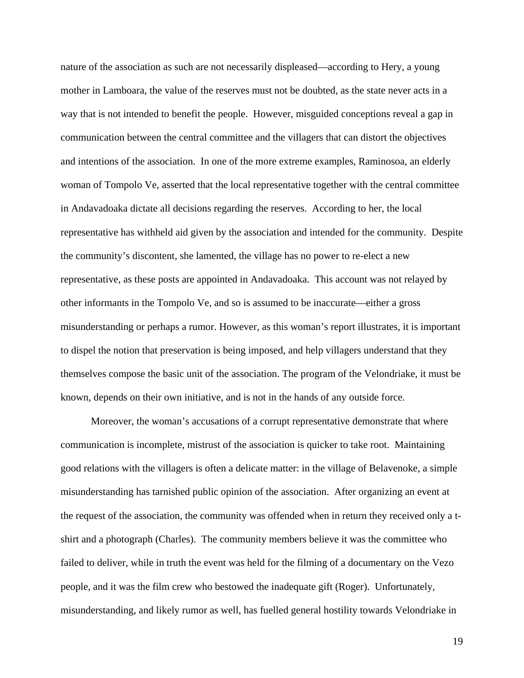nature of the association as such are not necessarily displeased—according to Hery, a young mother in Lamboara, the value of the reserves must not be doubted, as the state never acts in a way that is not intended to benefit the people. However, misguided conceptions reveal a gap in communication between the central committee and the villagers that can distort the objectives and intentions of the association. In one of the more extreme examples, Raminosoa, an elderly woman of Tompolo Ve, asserted that the local representative together with the central committee in Andavadoaka dictate all decisions regarding the reserves. According to her, the local representative has withheld aid given by the association and intended for the community. Despite the community's discontent, she lamented, the village has no power to re-elect a new representative, as these posts are appointed in Andavadoaka. This account was not relayed by other informants in the Tompolo Ve, and so is assumed to be inaccurate—either a gross misunderstanding or perhaps a rumor. However, as this woman's report illustrates, it is important to dispel the notion that preservation is being imposed, and help villagers understand that they themselves compose the basic unit of the association. The program of the Velondriake, it must be known, depends on their own initiative, and is not in the hands of any outside force.

Moreover, the woman's accusations of a corrupt representative demonstrate that where communication is incomplete, mistrust of the association is quicker to take root. Maintaining good relations with the villagers is often a delicate matter: in the village of Belavenoke, a simple misunderstanding has tarnished public opinion of the association. After organizing an event at the request of the association, the community was offended when in return they received only a tshirt and a photograph (Charles). The community members believe it was the committee who failed to deliver, while in truth the event was held for the filming of a documentary on the Vezo people, and it was the film crew who bestowed the inadequate gift (Roger). Unfortunately, misunderstanding, and likely rumor as well, has fuelled general hostility towards Velondriake in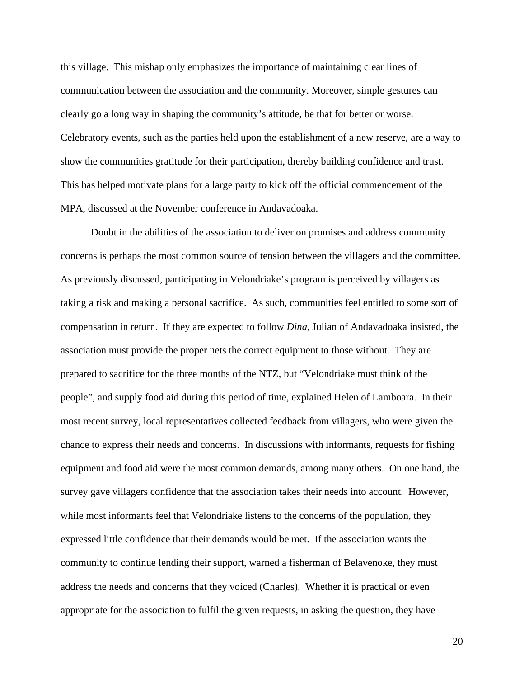this village. This mishap only emphasizes the importance of maintaining clear lines of communication between the association and the community. Moreover, simple gestures can clearly go a long way in shaping the community's attitude, be that for better or worse. Celebratory events, such as the parties held upon the establishment of a new reserve, are a way to show the communities gratitude for their participation, thereby building confidence and trust. This has helped motivate plans for a large party to kick off the official commencement of the MPA, discussed at the November conference in Andavadoaka.

Doubt in the abilities of the association to deliver on promises and address community concerns is perhaps the most common source of tension between the villagers and the committee. As previously discussed, participating in Velondriake's program is perceived by villagers as taking a risk and making a personal sacrifice. As such, communities feel entitled to some sort of compensation in return. If they are expected to follow *Dina*, Julian of Andavadoaka insisted, the association must provide the proper nets the correct equipment to those without. They are prepared to sacrifice for the three months of the NTZ, but "Velondriake must think of the people", and supply food aid during this period of time, explained Helen of Lamboara. In their most recent survey, local representatives collected feedback from villagers, who were given the chance to express their needs and concerns. In discussions with informants, requests for fishing equipment and food aid were the most common demands, among many others. On one hand, the survey gave villagers confidence that the association takes their needs into account. However, while most informants feel that Velondriake listens to the concerns of the population, they expressed little confidence that their demands would be met. If the association wants the community to continue lending their support, warned a fisherman of Belavenoke, they must address the needs and concerns that they voiced (Charles). Whether it is practical or even appropriate for the association to fulfil the given requests, in asking the question, they have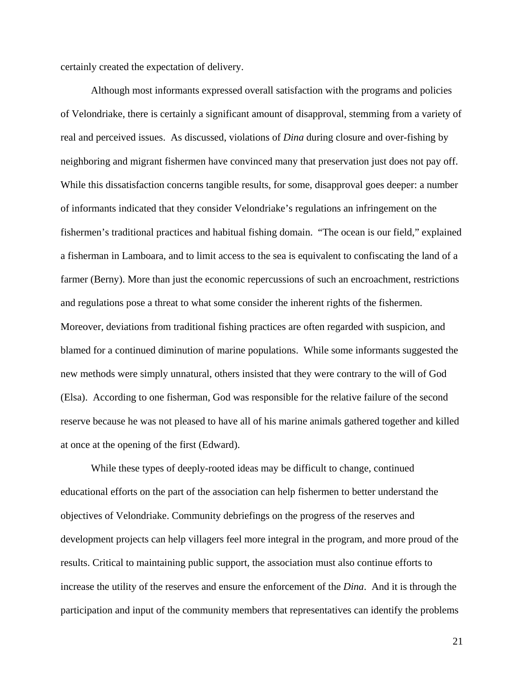certainly created the expectation of delivery.

Although most informants expressed overall satisfaction with the programs and policies of Velondriake, there is certainly a significant amount of disapproval, stemming from a variety of real and perceived issues. As discussed, violations of *Dina* during closure and over-fishing by neighboring and migrant fishermen have convinced many that preservation just does not pay off. While this dissatisfaction concerns tangible results, for some, disapproval goes deeper: a number of informants indicated that they consider Velondriake's regulations an infringement on the fishermen's traditional practices and habitual fishing domain. "The ocean is our field," explained a fisherman in Lamboara, and to limit access to the sea is equivalent to confiscating the land of a farmer (Berny). More than just the economic repercussions of such an encroachment, restrictions and regulations pose a threat to what some consider the inherent rights of the fishermen. Moreover, deviations from traditional fishing practices are often regarded with suspicion, and blamed for a continued diminution of marine populations. While some informants suggested the new methods were simply unnatural, others insisted that they were contrary to the will of God (Elsa). According to one fisherman, God was responsible for the relative failure of the second reserve because he was not pleased to have all of his marine animals gathered together and killed at once at the opening of the first (Edward).

While these types of deeply-rooted ideas may be difficult to change, continued educational efforts on the part of the association can help fishermen to better understand the objectives of Velondriake. Community debriefings on the progress of the reserves and development projects can help villagers feel more integral in the program, and more proud of the results. Critical to maintaining public support, the association must also continue efforts to increase the utility of the reserves and ensure the enforcement of the *Dina*. And it is through the participation and input of the community members that representatives can identify the problems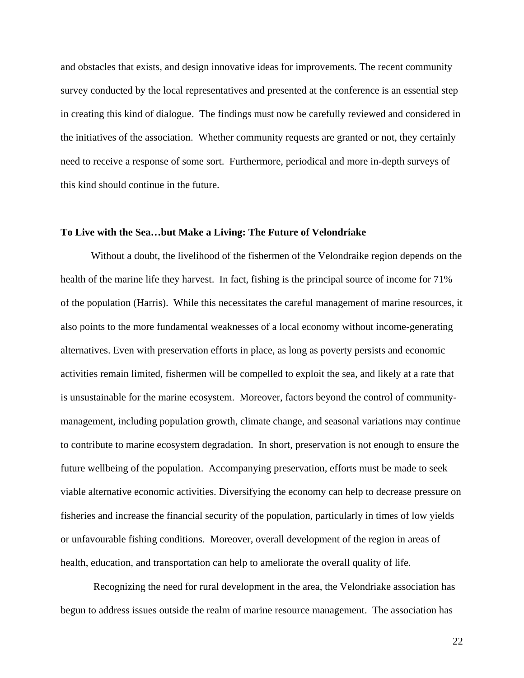and obstacles that exists, and design innovative ideas for improvements. The recent community survey conducted by the local representatives and presented at the conference is an essential step in creating this kind of dialogue. The findings must now be carefully reviewed and considered in the initiatives of the association. Whether community requests are granted or not, they certainly need to receive a response of some sort. Furthermore, periodical and more in-depth surveys of this kind should continue in the future.

### **To Live with the Sea…but Make a Living: The Future of Velondriake**

Without a doubt, the livelihood of the fishermen of the Velondraike region depends on the health of the marine life they harvest. In fact, fishing is the principal source of income for 71% of the population (Harris). While this necessitates the careful management of marine resources, it also points to the more fundamental weaknesses of a local economy without income-generating alternatives. Even with preservation efforts in place, as long as poverty persists and economic activities remain limited, fishermen will be compelled to exploit the sea, and likely at a rate that is unsustainable for the marine ecosystem. Moreover, factors beyond the control of communitymanagement, including population growth, climate change, and seasonal variations may continue to contribute to marine ecosystem degradation. In short, preservation is not enough to ensure the future wellbeing of the population. Accompanying preservation, efforts must be made to seek viable alternative economic activities. Diversifying the economy can help to decrease pressure on fisheries and increase the financial security of the population, particularly in times of low yields or unfavourable fishing conditions. Moreover, overall development of the region in areas of health, education, and transportation can help to ameliorate the overall quality of life.

 Recognizing the need for rural development in the area, the Velondriake association has begun to address issues outside the realm of marine resource management. The association has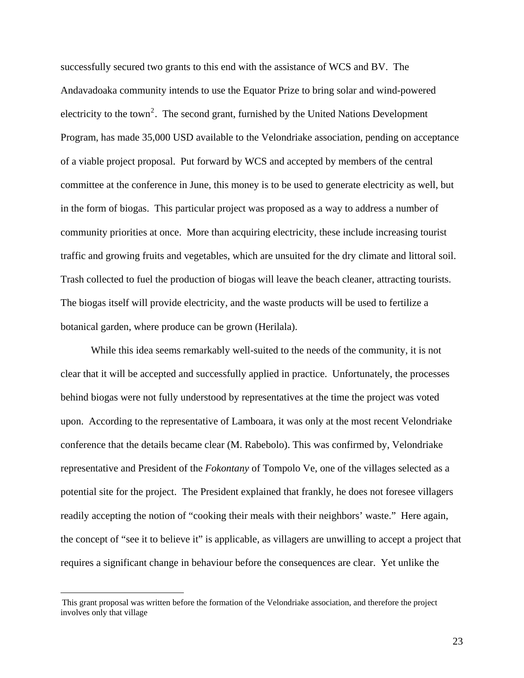<span id="page-22-0"></span>successfully secured two grants to this end with the assistance of WCS and BV. The Andavadoaka community intends to use the Equator Prize to bring solar and wind-powered electricity to the town<sup>[2](#page-22-0)</sup>. The second grant, furnished by the United Nations Development Program, has made 35,000 USD available to the Velondriake association, pending on acceptance of a viable project proposal. Put forward by WCS and accepted by members of the central committee at the conference in June, this money is to be used to generate electricity as well, but in the form of biogas. This particular project was proposed as a way to address a number of community priorities at once. More than acquiring electricity, these include increasing tourist traffic and growing fruits and vegetables, which are unsuited for the dry climate and littoral soil. Trash collected to fuel the production of biogas will leave the beach cleaner, attracting tourists. The biogas itself will provide electricity, and the waste products will be used to fertilize a botanical garden, where produce can be grown (Herilala).

 While this idea seems remarkably well-suited to the needs of the community, it is not clear that it will be accepted and successfully applied in practice. Unfortunately, the processes behind biogas were not fully understood by representatives at the time the project was voted upon. According to the representative of Lamboara, it was only at the most recent Velondriake conference that the details became clear (M. Rabebolo). This was confirmed by, Velondriake representative and President of the *Fokontany* of Tompolo Ve, one of the villages selected as a potential site for the project. The President explained that frankly, he does not foresee villagers readily accepting the notion of "cooking their meals with their neighbors' waste." Here again, the concept of "see it to believe it" is applicable, as villagers are unwilling to accept a project that requires a significant change in behaviour before the consequences are clear. Yet unlike the

This grant proposal was written before the formation of the Velondriake association, and therefore the project involves only that village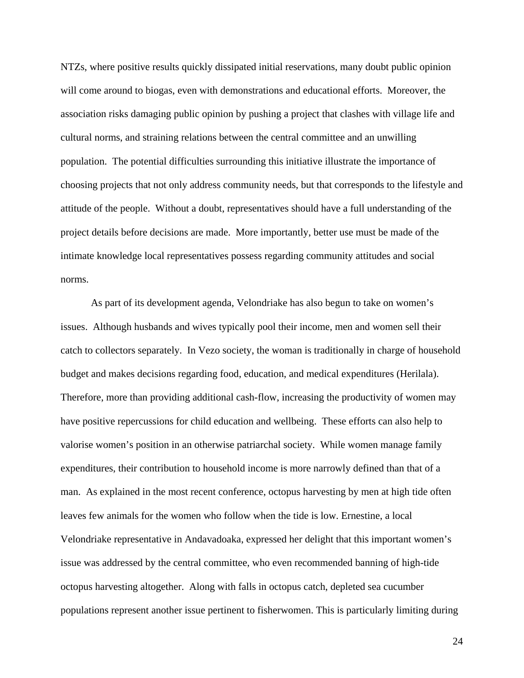NTZs, where positive results quickly dissipated initial reservations, many doubt public opinion will come around to biogas, even with demonstrations and educational efforts. Moreover, the association risks damaging public opinion by pushing a project that clashes with village life and cultural norms, and straining relations between the central committee and an unwilling population. The potential difficulties surrounding this initiative illustrate the importance of choosing projects that not only address community needs, but that corresponds to the lifestyle and attitude of the people. Without a doubt, representatives should have a full understanding of the project details before decisions are made. More importantly, better use must be made of the intimate knowledge local representatives possess regarding community attitudes and social norms.

 As part of its development agenda, Velondriake has also begun to take on women's issues. Although husbands and wives typically pool their income, men and women sell their catch to collectors separately. In Vezo society, the woman is traditionally in charge of household budget and makes decisions regarding food, education, and medical expenditures (Herilala). Therefore, more than providing additional cash-flow, increasing the productivity of women may have positive repercussions for child education and wellbeing. These efforts can also help to valorise women's position in an otherwise patriarchal society. While women manage family expenditures, their contribution to household income is more narrowly defined than that of a man. As explained in the most recent conference, octopus harvesting by men at high tide often leaves few animals for the women who follow when the tide is low. Ernestine, a local Velondriake representative in Andavadoaka, expressed her delight that this important women's issue was addressed by the central committee, who even recommended banning of high-tide octopus harvesting altogether. Along with falls in octopus catch, depleted sea cucumber populations represent another issue pertinent to fisherwomen. This is particularly limiting during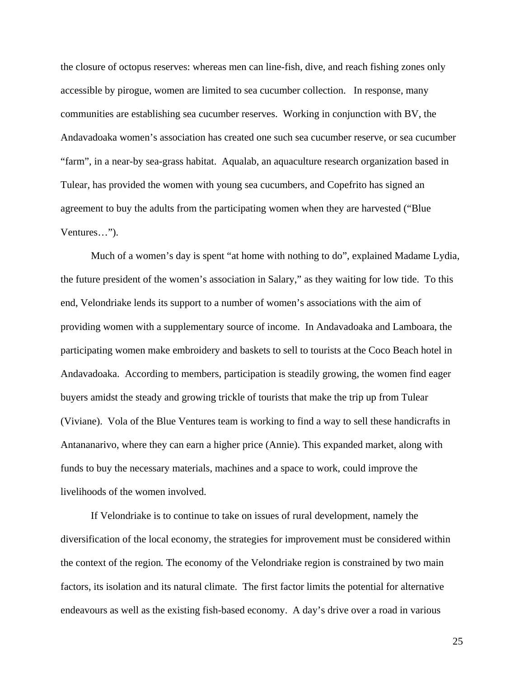the closure of octopus reserves: whereas men can line-fish, dive, and reach fishing zones only accessible by pirogue, women are limited to sea cucumber collection. In response, many communities are establishing sea cucumber reserves. Working in conjunction with BV, the Andavadoaka women's association has created one such sea cucumber reserve, or sea cucumber "farm", in a near-by sea-grass habitat. Aqualab, an aquaculture research organization based in Tulear, has provided the women with young sea cucumbers, and Copefrito has signed an agreement to buy the adults from the participating women when they are harvested ("Blue Ventures…").

Much of a women's day is spent "at home with nothing to do", explained Madame Lydia, the future president of the women's association in Salary," as they waiting for low tide. To this end, Velondriake lends its support to a number of women's associations with the aim of providing women with a supplementary source of income. In Andavadoaka and Lamboara, the participating women make embroidery and baskets to sell to tourists at the Coco Beach hotel in Andavadoaka. According to members, participation is steadily growing, the women find eager buyers amidst the steady and growing trickle of tourists that make the trip up from Tulear (Viviane). Vola of the Blue Ventures team is working to find a way to sell these handicrafts in Antananarivo, where they can earn a higher price (Annie). This expanded market, along with funds to buy the necessary materials, machines and a space to work, could improve the livelihoods of the women involved.

 If Velondriake is to continue to take on issues of rural development, namely the diversification of the local economy, the strategies for improvement must be considered within the context of the region*.* The economy of the Velondriake region is constrained by two main factors, its isolation and its natural climate. The first factor limits the potential for alternative endeavours as well as the existing fish-based economy. A day's drive over a road in various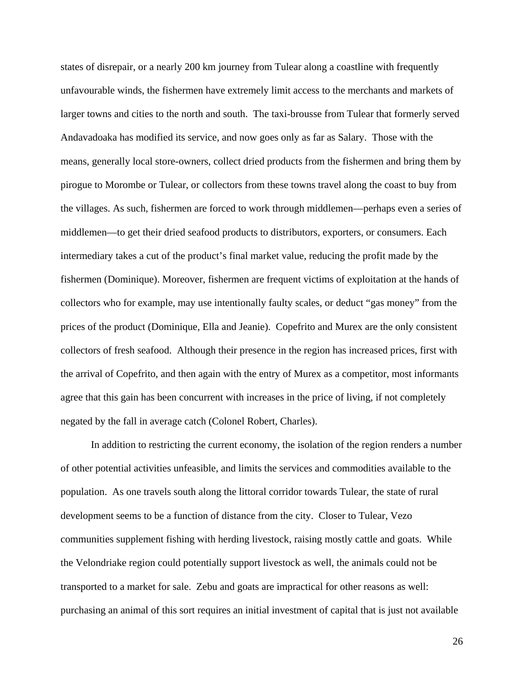states of disrepair, or a nearly 200 km journey from Tulear along a coastline with frequently unfavourable winds, the fishermen have extremely limit access to the merchants and markets of larger towns and cities to the north and south. The taxi-brousse from Tulear that formerly served Andavadoaka has modified its service, and now goes only as far as Salary. Those with the means, generally local store-owners, collect dried products from the fishermen and bring them by pirogue to Morombe or Tulear, or collectors from these towns travel along the coast to buy from the villages. As such, fishermen are forced to work through middlemen—perhaps even a series of middlemen—to get their dried seafood products to distributors, exporters, or consumers. Each intermediary takes a cut of the product's final market value, reducing the profit made by the fishermen (Dominique). Moreover, fishermen are frequent victims of exploitation at the hands of collectors who for example, may use intentionally faulty scales, or deduct "gas money" from the prices of the product (Dominique, Ella and Jeanie). Copefrito and Murex are the only consistent collectors of fresh seafood. Although their presence in the region has increased prices, first with the arrival of Copefrito, and then again with the entry of Murex as a competitor, most informants agree that this gain has been concurrent with increases in the price of living, if not completely negated by the fall in average catch (Colonel Robert, Charles).

 In addition to restricting the current economy, the isolation of the region renders a number of other potential activities unfeasible, and limits the services and commodities available to the population. As one travels south along the littoral corridor towards Tulear, the state of rural development seems to be a function of distance from the city. Closer to Tulear, Vezo communities supplement fishing with herding livestock, raising mostly cattle and goats. While the Velondriake region could potentially support livestock as well, the animals could not be transported to a market for sale. Zebu and goats are impractical for other reasons as well: purchasing an animal of this sort requires an initial investment of capital that is just not available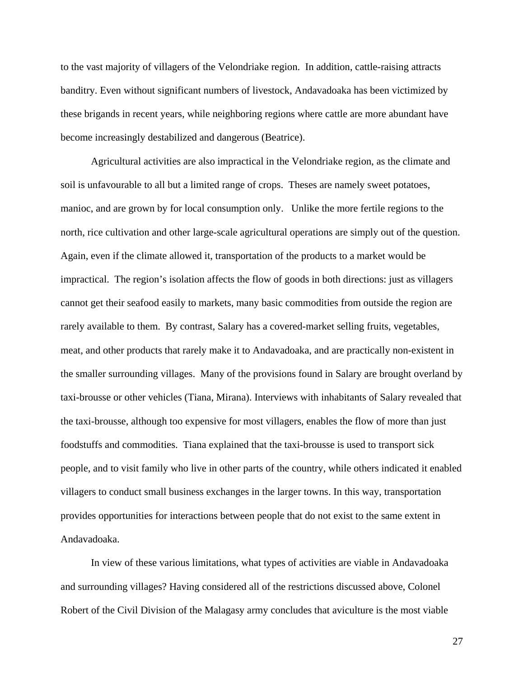to the vast majority of villagers of the Velondriake region. In addition, cattle-raising attracts banditry. Even without significant numbers of livestock, Andavadoaka has been victimized by these brigands in recent years, while neighboring regions where cattle are more abundant have become increasingly destabilized and dangerous (Beatrice).

Agricultural activities are also impractical in the Velondriake region, as the climate and soil is unfavourable to all but a limited range of crops. Theses are namely sweet potatoes, manioc, and are grown by for local consumption only. Unlike the more fertile regions to the north, rice cultivation and other large-scale agricultural operations are simply out of the question. Again, even if the climate allowed it, transportation of the products to a market would be impractical. The region's isolation affects the flow of goods in both directions: just as villagers cannot get their seafood easily to markets, many basic commodities from outside the region are rarely available to them. By contrast, Salary has a covered-market selling fruits, vegetables, meat, and other products that rarely make it to Andavadoaka, and are practically non-existent in the smaller surrounding villages. Many of the provisions found in Salary are brought overland by taxi-brousse or other vehicles (Tiana, Mirana). Interviews with inhabitants of Salary revealed that the taxi-brousse, although too expensive for most villagers, enables the flow of more than just foodstuffs and commodities. Tiana explained that the taxi-brousse is used to transport sick people, and to visit family who live in other parts of the country, while others indicated it enabled villagers to conduct small business exchanges in the larger towns. In this way, transportation provides opportunities for interactions between people that do not exist to the same extent in Andavadoaka.

In view of these various limitations, what types of activities are viable in Andavadoaka and surrounding villages? Having considered all of the restrictions discussed above, Colonel Robert of the Civil Division of the Malagasy army concludes that aviculture is the most viable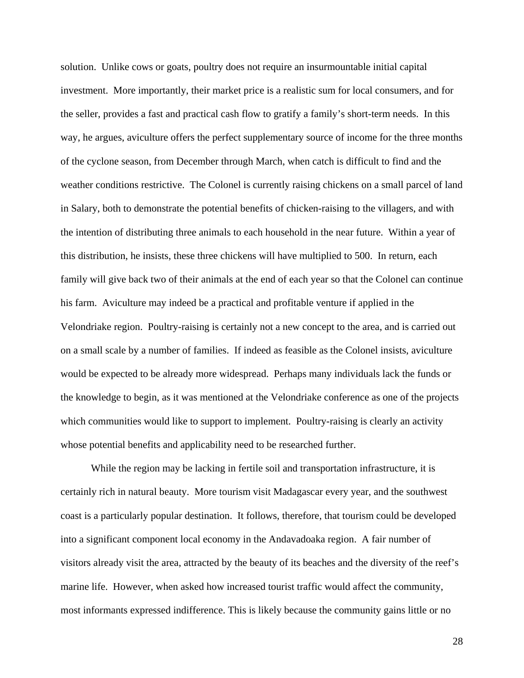solution. Unlike cows or goats, poultry does not require an insurmountable initial capital investment. More importantly, their market price is a realistic sum for local consumers, and for the seller, provides a fast and practical cash flow to gratify a family's short-term needs. In this way, he argues, aviculture offers the perfect supplementary source of income for the three months of the cyclone season, from December through March, when catch is difficult to find and the weather conditions restrictive. The Colonel is currently raising chickens on a small parcel of land in Salary, both to demonstrate the potential benefits of chicken-raising to the villagers, and with the intention of distributing three animals to each household in the near future. Within a year of this distribution, he insists, these three chickens will have multiplied to 500. In return, each family will give back two of their animals at the end of each year so that the Colonel can continue his farm. Aviculture may indeed be a practical and profitable venture if applied in the Velondriake region. Poultry-raising is certainly not a new concept to the area, and is carried out on a small scale by a number of families. If indeed as feasible as the Colonel insists, aviculture would be expected to be already more widespread. Perhaps many individuals lack the funds or the knowledge to begin, as it was mentioned at the Velondriake conference as one of the projects which communities would like to support to implement. Poultry-raising is clearly an activity whose potential benefits and applicability need to be researched further.

While the region may be lacking in fertile soil and transportation infrastructure, it is certainly rich in natural beauty. More tourism visit Madagascar every year, and the southwest coast is a particularly popular destination. It follows, therefore, that tourism could be developed into a significant component local economy in the Andavadoaka region. A fair number of visitors already visit the area, attracted by the beauty of its beaches and the diversity of the reef's marine life. However, when asked how increased tourist traffic would affect the community, most informants expressed indifference. This is likely because the community gains little or no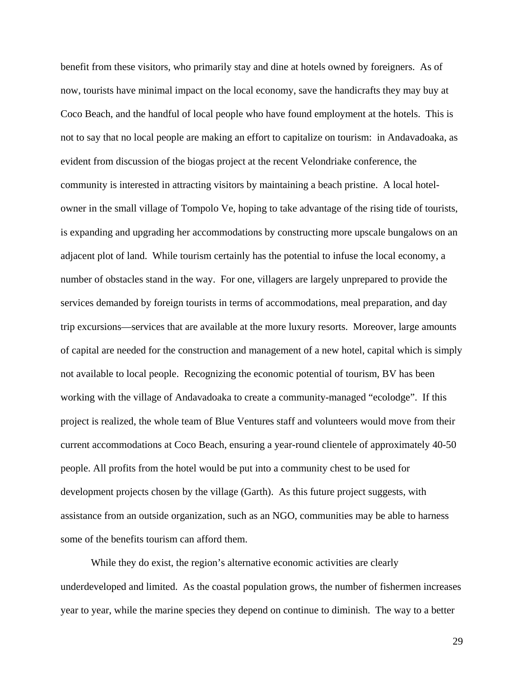benefit from these visitors, who primarily stay and dine at hotels owned by foreigners. As of now, tourists have minimal impact on the local economy, save the handicrafts they may buy at Coco Beach, and the handful of local people who have found employment at the hotels. This is not to say that no local people are making an effort to capitalize on tourism: in Andavadoaka, as evident from discussion of the biogas project at the recent Velondriake conference, the community is interested in attracting visitors by maintaining a beach pristine. A local hotelowner in the small village of Tompolo Ve, hoping to take advantage of the rising tide of tourists, is expanding and upgrading her accommodations by constructing more upscale bungalows on an adjacent plot of land. While tourism certainly has the potential to infuse the local economy, a number of obstacles stand in the way. For one, villagers are largely unprepared to provide the services demanded by foreign tourists in terms of accommodations, meal preparation, and day trip excursions—services that are available at the more luxury resorts. Moreover, large amounts of capital are needed for the construction and management of a new hotel, capital which is simply not available to local people. Recognizing the economic potential of tourism, BV has been working with the village of Andavadoaka to create a community-managed "ecolodge". If this project is realized, the whole team of Blue Ventures staff and volunteers would move from their current accommodations at Coco Beach, ensuring a year-round clientele of approximately 40-50 people. All profits from the hotel would be put into a community chest to be used for development projects chosen by the village (Garth). As this future project suggests, with assistance from an outside organization, such as an NGO, communities may be able to harness some of the benefits tourism can afford them.

While they do exist, the region's alternative economic activities are clearly underdeveloped and limited. As the coastal population grows, the number of fishermen increases year to year, while the marine species they depend on continue to diminish. The way to a better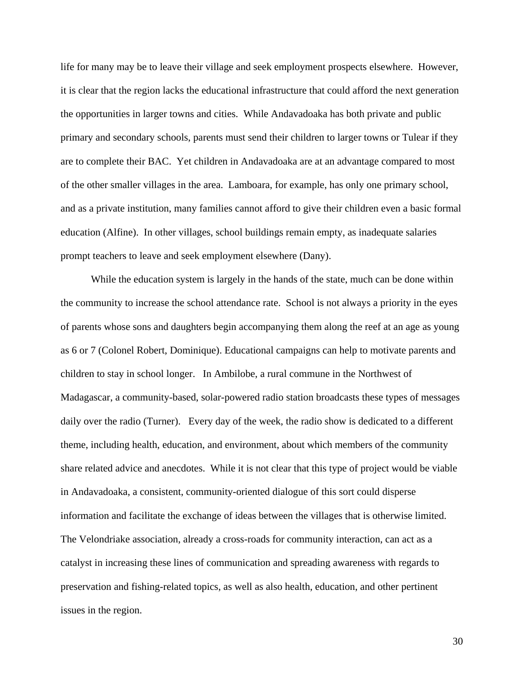life for many may be to leave their village and seek employment prospects elsewhere. However, it is clear that the region lacks the educational infrastructure that could afford the next generation the opportunities in larger towns and cities. While Andavadoaka has both private and public primary and secondary schools, parents must send their children to larger towns or Tulear if they are to complete their BAC. Yet children in Andavadoaka are at an advantage compared to most of the other smaller villages in the area. Lamboara, for example, has only one primary school, and as a private institution, many families cannot afford to give their children even a basic formal education (Alfine). In other villages, school buildings remain empty, as inadequate salaries prompt teachers to leave and seek employment elsewhere (Dany).

While the education system is largely in the hands of the state, much can be done within the community to increase the school attendance rate. School is not always a priority in the eyes of parents whose sons and daughters begin accompanying them along the reef at an age as young as 6 or 7 (Colonel Robert, Dominique). Educational campaigns can help to motivate parents and children to stay in school longer. In Ambilobe, a rural commune in the Northwest of Madagascar, a community-based, solar-powered radio station broadcasts these types of messages daily over the radio (Turner). Every day of the week, the radio show is dedicated to a different theme, including health, education, and environment, about which members of the community share related advice and anecdotes. While it is not clear that this type of project would be viable in Andavadoaka, a consistent, community-oriented dialogue of this sort could disperse information and facilitate the exchange of ideas between the villages that is otherwise limited. The Velondriake association, already a cross-roads for community interaction, can act as a catalyst in increasing these lines of communication and spreading awareness with regards to preservation and fishing-related topics, as well as also health, education, and other pertinent issues in the region.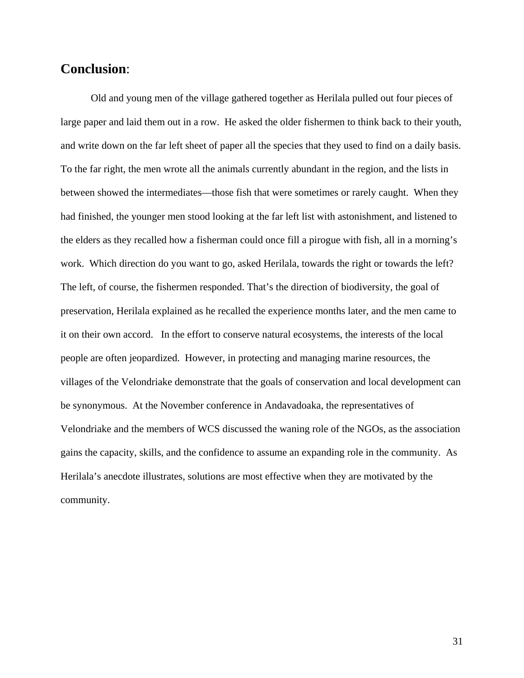## **Conclusion**:

 Old and young men of the village gathered together as Herilala pulled out four pieces of large paper and laid them out in a row. He asked the older fishermen to think back to their youth, and write down on the far left sheet of paper all the species that they used to find on a daily basis. To the far right, the men wrote all the animals currently abundant in the region, and the lists in between showed the intermediates—those fish that were sometimes or rarely caught. When they had finished, the younger men stood looking at the far left list with astonishment, and listened to the elders as they recalled how a fisherman could once fill a pirogue with fish, all in a morning's work. Which direction do you want to go, asked Herilala, towards the right or towards the left? The left, of course, the fishermen responded. That's the direction of biodiversity, the goal of preservation, Herilala explained as he recalled the experience months later, and the men came to it on their own accord. In the effort to conserve natural ecosystems, the interests of the local people are often jeopardized. However, in protecting and managing marine resources, the villages of the Velondriake demonstrate that the goals of conservation and local development can be synonymous. At the November conference in Andavadoaka, the representatives of Velondriake and the members of WCS discussed the waning role of the NGOs, as the association gains the capacity, skills, and the confidence to assume an expanding role in the community. As Herilala's anecdote illustrates, solutions are most effective when they are motivated by the community.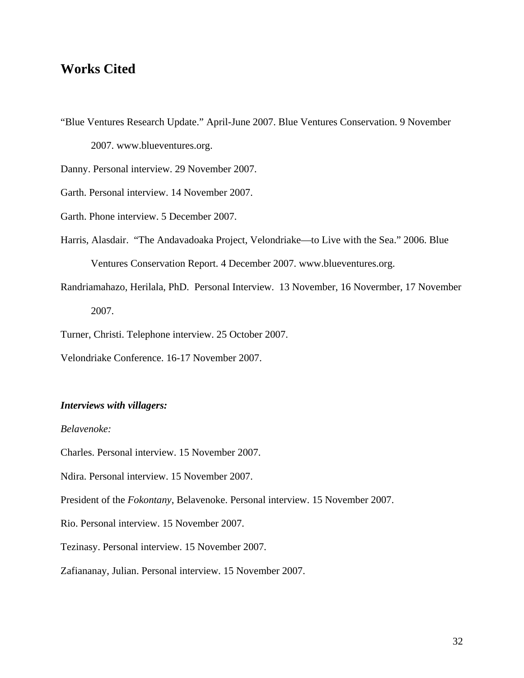## **Works Cited**

"Blue Ventures Research Update." April-June 2007. Blue Ventures Conservation. 9 November 2007. www.blueventures.org.

Danny. Personal interview. 29 November 2007.

Garth. Personal interview. 14 November 2007.

Garth. Phone interview. 5 December 2007.

- Harris, Alasdair. "The Andavadoaka Project, Velondriake—to Live with the Sea." 2006. Blue Ventures Conservation Report. 4 December 2007. www.blueventures.org.
- Randriamahazo, Herilala, PhD. Personal Interview. 13 November, 16 Novermber, 17 November 2007.

Turner, Christi. Telephone interview. 25 October 2007.

Velondriake Conference. 16-17 November 2007.

#### *Interviews with villagers:*

*Belavenoke:* 

Charles. Personal interview. 15 November 2007.

Ndira. Personal interview. 15 November 2007.

President of the *Fokontany*, Belavenoke. Personal interview. 15 November 2007.

Rio. Personal interview. 15 November 2007.

Tezinasy. Personal interview. 15 November 2007.

Zafiananay, Julian. Personal interview. 15 November 2007.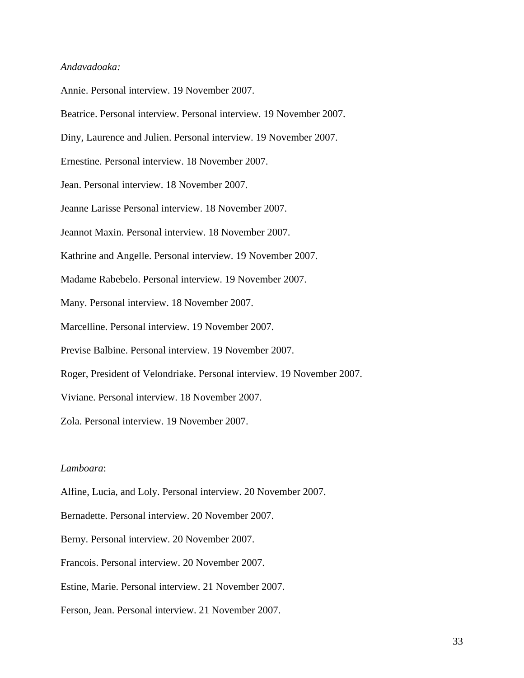### *Andavadoaka:*

Annie. Personal interview. 19 November 2007.

Beatrice. Personal interview. Personal interview. 19 November 2007.

Diny, Laurence and Julien. Personal interview. 19 November 2007.

Ernestine. Personal interview. 18 November 2007.

Jean. Personal interview. 18 November 2007.

Jeanne Larisse Personal interview. 18 November 2007.

Jeannot Maxin. Personal interview. 18 November 2007.

Kathrine and Angelle. Personal interview. 19 November 2007.

Madame Rabebelo. Personal interview. 19 November 2007.

Many. Personal interview. 18 November 2007.

Marcelline. Personal interview. 19 November 2007.

Previse Balbine. Personal interview. 19 November 2007.

Roger, President of Velondriake. Personal interview. 19 November 2007.

Viviane. Personal interview. 18 November 2007.

Zola. Personal interview. 19 November 2007.

### *Lamboara*:

Alfine, Lucia, and Loly. Personal interview. 20 November 2007.

Bernadette. Personal interview. 20 November 2007.

Berny. Personal interview. 20 November 2007.

Francois. Personal interview. 20 November 2007.

Estine, Marie. Personal interview. 21 November 2007.

Ferson, Jean. Personal interview. 21 November 2007.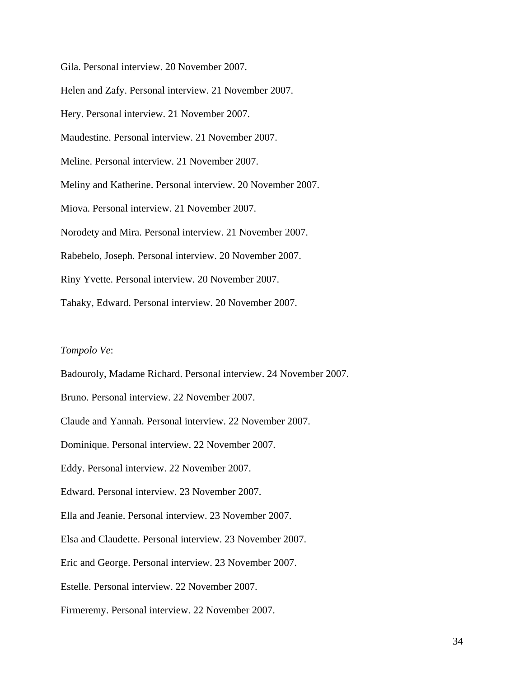Gila. Personal interview. 20 November 2007.

Helen and Zafy. Personal interview. 21 November 2007.

Hery. Personal interview. 21 November 2007.

Maudestine. Personal interview. 21 November 2007.

Meline. Personal interview. 21 November 2007.

Meliny and Katherine. Personal interview. 20 November 2007.

Miova. Personal interview. 21 November 2007.

Norodety and Mira. Personal interview. 21 November 2007.

Rabebelo, Joseph. Personal interview. 20 November 2007.

Riny Yvette. Personal interview. 20 November 2007.

Tahaky, Edward. Personal interview. 20 November 2007.

#### *Tompolo Ve*:

Badouroly, Madame Richard. Personal interview. 24 November 2007.

Bruno. Personal interview. 22 November 2007.

Claude and Yannah. Personal interview. 22 November 2007.

Dominique. Personal interview. 22 November 2007.

Eddy. Personal interview. 22 November 2007.

Edward. Personal interview. 23 November 2007.

Ella and Jeanie. Personal interview. 23 November 2007.

Elsa and Claudette. Personal interview. 23 November 2007.

Eric and George. Personal interview. 23 November 2007.

Estelle. Personal interview. 22 November 2007.

Firmeremy. Personal interview. 22 November 2007.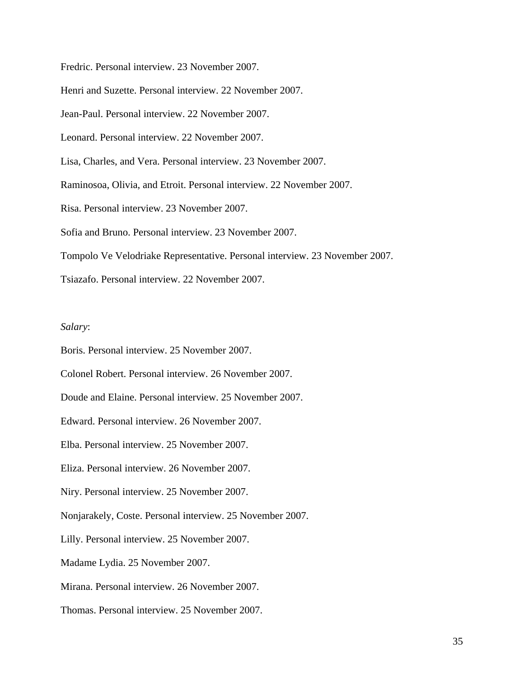Fredric. Personal interview. 23 November 2007.

Henri and Suzette. Personal interview. 22 November 2007.

Jean-Paul. Personal interview. 22 November 2007.

Leonard. Personal interview. 22 November 2007.

Lisa, Charles, and Vera. Personal interview. 23 November 2007.

Raminosoa, Olivia, and Etroit. Personal interview. 22 November 2007.

Risa. Personal interview. 23 November 2007.

Sofia and Bruno. Personal interview. 23 November 2007.

Tompolo Ve Velodriake Representative. Personal interview. 23 November 2007.

Tsiazafo. Personal interview. 22 November 2007.

### *Salary*:

Boris. Personal interview. 25 November 2007.

Colonel Robert. Personal interview. 26 November 2007.

Doude and Elaine. Personal interview. 25 November 2007.

Edward. Personal interview. 26 November 2007.

Elba. Personal interview. 25 November 2007.

Eliza. Personal interview. 26 November 2007.

Niry. Personal interview. 25 November 2007.

Nonjarakely, Coste. Personal interview. 25 November 2007.

Lilly. Personal interview. 25 November 2007.

Madame Lydia. 25 November 2007.

Mirana. Personal interview. 26 November 2007.

Thomas. Personal interview. 25 November 2007.